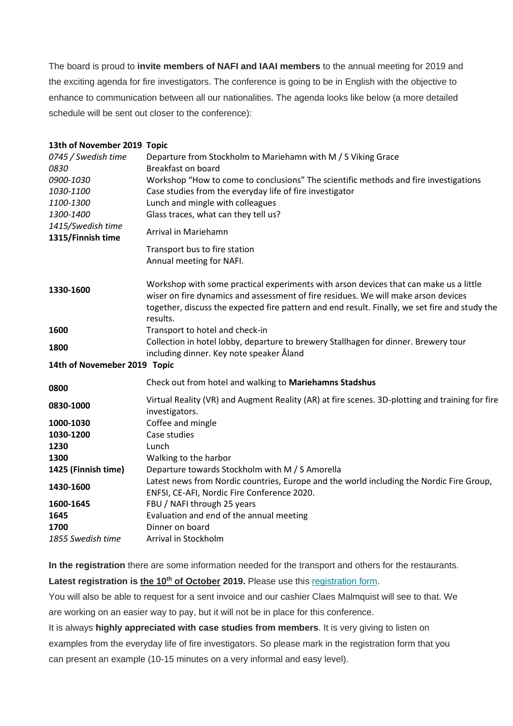The board is proud to **invite members of NAFI and IAAI members** to the annual meeting for 2019 and the exciting agenda for fire investigators. The conference is going to be in English with the objective to enhance to communication between all our nationalities. The agenda looks like below (a more detailed schedule will be sent out closer to the conference):

| 13th of November 2019 Topic            |                                                                                                                                                                                                                                                                                           |
|----------------------------------------|-------------------------------------------------------------------------------------------------------------------------------------------------------------------------------------------------------------------------------------------------------------------------------------------|
| 0745 / Swedish time                    | Departure from Stockholm to Mariehamn with M / S Viking Grace                                                                                                                                                                                                                             |
| 0830                                   | <b>Breakfast on board</b>                                                                                                                                                                                                                                                                 |
| 0900-1030                              | Workshop "How to come to conclusions" The scientific methods and fire investigations                                                                                                                                                                                                      |
| 1030-1100                              | Case studies from the everyday life of fire investigator                                                                                                                                                                                                                                  |
| 1100-1300                              | Lunch and mingle with colleagues                                                                                                                                                                                                                                                          |
| 1300-1400                              | Glass traces, what can they tell us?                                                                                                                                                                                                                                                      |
| 1415/Swedish time<br>1315/Finnish time | Arrival in Mariehamn                                                                                                                                                                                                                                                                      |
|                                        | Transport bus to fire station                                                                                                                                                                                                                                                             |
|                                        | Annual meeting for NAFI.                                                                                                                                                                                                                                                                  |
| 1330-1600                              | Workshop with some practical experiments with arson devices that can make us a little<br>wiser on fire dynamics and assessment of fire residues. We will make arson devices<br>together, discuss the expected fire pattern and end result. Finally, we set fire and study the<br>results. |
| 1600                                   | Transport to hotel and check-in                                                                                                                                                                                                                                                           |
| 1800                                   | Collection in hotel lobby, departure to brewery Stallhagen for dinner. Brewery tour<br>including dinner. Key note speaker Åland                                                                                                                                                           |
| 14th of Novemeber 2019 Topic           |                                                                                                                                                                                                                                                                                           |
| 0800                                   | Check out from hotel and walking to Mariehamns Stadshus                                                                                                                                                                                                                                   |
| 0830-1000                              | Virtual Reality (VR) and Augment Reality (AR) at fire scenes. 3D-plotting and training for fire<br>investigators.                                                                                                                                                                         |
| 1000-1030                              | Coffee and mingle                                                                                                                                                                                                                                                                         |
| 1030-1200                              | Case studies                                                                                                                                                                                                                                                                              |
| 1230                                   | Lunch                                                                                                                                                                                                                                                                                     |
| 1300                                   | Walking to the harbor                                                                                                                                                                                                                                                                     |
| 1425 (Finnish time)                    | Departure towards Stockholm with M / S Amorella                                                                                                                                                                                                                                           |
| 1430-1600                              | Latest news from Nordic countries, Europe and the world including the Nordic Fire Group,<br>ENFSI, CE-AFI, Nordic Fire Conference 2020.                                                                                                                                                   |
| 1600-1645                              | FBU / NAFI through 25 years                                                                                                                                                                                                                                                               |
| 1645                                   | Evaluation and end of the annual meeting                                                                                                                                                                                                                                                  |
| 1700                                   | Dinner on board                                                                                                                                                                                                                                                                           |
| 1855 Swedish time                      | Arrival in Stockholm                                                                                                                                                                                                                                                                      |

**In the registration** there are some information needed for the transport and others for the restaurants. **Latest registration is the 10th of October 2019.** Please use this [registration form.](https://nafi.us7.list-manage.com/track/click?u=2aeae075fed42de135f5cb7fd&id=b8f177b910&e=74a65b1b14)

You will also be able to request for a sent invoice and our cashier Claes Malmquist will see to that. We are working on an easier way to pay, but it will not be in place for this conference.

It is always **highly appreciated with case studies from members**. It is very giving to listen on examples from the everyday life of fire investigators. So please mark in the registration form that you can present an example (10-15 minutes on a very informal and easy level).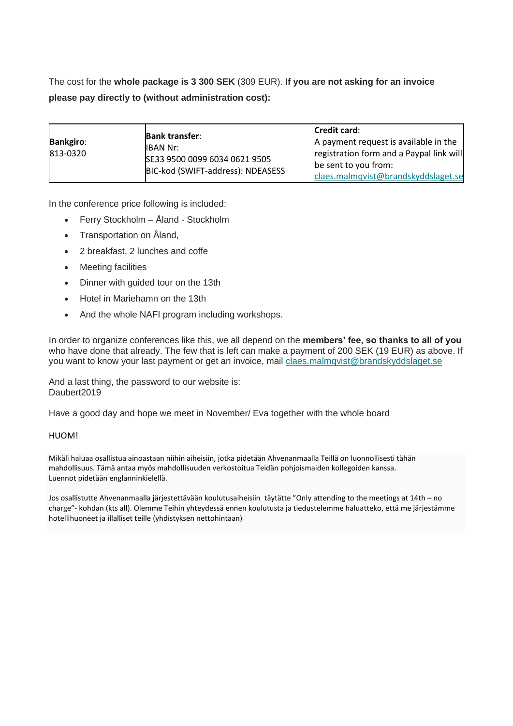The cost for the **whole package is 3 300 SEK** (309 EUR). **If you are not asking for an invoice please pay directly to (without administration cost):**

| <b>Bankgiro:</b><br>813-0320 | <b>Bank transfer:</b><br><b>IBAN Nr:</b><br>SE33 9500 0099 6034 0621 9505 | Credit card:<br>A payment request is available in the<br>registration form and a Paypal link will<br>be sent to you from: |
|------------------------------|---------------------------------------------------------------------------|---------------------------------------------------------------------------------------------------------------------------|
|                              | BIC-kod (SWIFT-address): NDEASESS                                         | claes.malmqvist@brandskyddslaget.se                                                                                       |

In the conference price following is included:

- Ferry Stockholm Åland Stockholm
- Transportation on Åland,
- 2 breakfast, 2 lunches and coffe
- Meeting facilities
- Dinner with guided tour on the 13th
- Hotel in Mariehamn on the 13th
- And the whole NAFI program including workshops.

In order to organize conferences like this, we all depend on the **members' fee, so thanks to all of you**  who have done that already. The few that is left can make a payment of 200 SEK (19 EUR) as above. If you want to know your last payment or get an invoice, mail [claes.malmqvist@brandskyddslaget.se](mailto:claes.malmqvist@brandskyddslaget.se)

And a last thing, the password to our website is: Daubert2019

Have a good day and hope we meet in November/ Eva together with the whole board

## HUOM!

Mikäli haluaa osallistua ainoastaan niihin aiheisiin, jotka pidetään Ahvenanmaalla Teillä on luonnollisesti tähän mahdollisuus. Tämä antaa myös mahdollisuuden verkostoitua Teidän pohjoismaiden kollegoiden kanssa. Luennot pidetään englanninkielellä.

Jos osallistutte Ahvenanmaalla järjestettävään koulutusaiheisiin täytätte "Only attending to the meetings at 14th – no charge"- kohdan (kts all). Olemme Teihin yhteydessä ennen koulutusta ja tiedustelemme haluatteko, että me järjestämme hotellihuoneet ja illalliset teille (yhdistyksen nettohintaan)